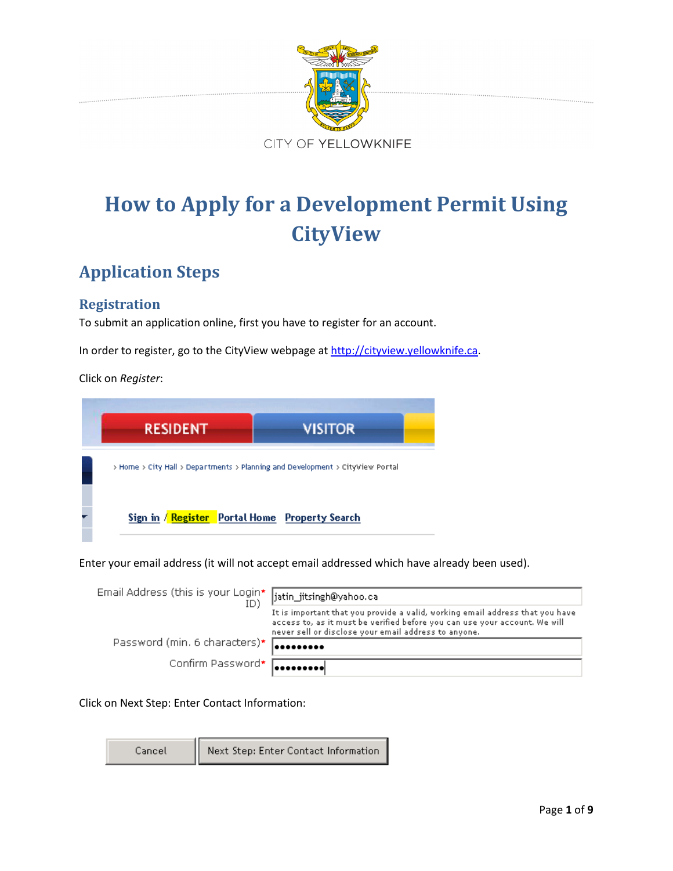

# **How to Apply for a Development Permit Using CityView**

# **Application Steps**

# **Registration**

To submit an application online, first you have to register for an account.

In order to register, go to the CityView webpage at [http://cityview.yellowknife.ca.](http://cityview.yellowknife.ca/)

Click on *Register*:

| <b>RESIDENT</b> | <b>VISITOR</b>                                                                |
|-----------------|-------------------------------------------------------------------------------|
|                 | > Home > City Hall > Departments > Planning and Development > CityView Portal |
|                 |                                                                               |

Enter your email address (it will not accept email addressed which have already been used).

| Email Address (this is your Login*  jatin_jitsingh@yahoo.ca |                                                                                                                                                                                                                     |
|-------------------------------------------------------------|---------------------------------------------------------------------------------------------------------------------------------------------------------------------------------------------------------------------|
|                                                             | It is important that you provide a valid, working email address that you have<br>access to, as it must be verified before you can use your account. We will<br>never sell or disclose your email address to anyone. |
| Password (min. 6 characters)* <b>Accessore</b>              |                                                                                                                                                                                                                     |
| Confirm Password* <b>Research</b>                           |                                                                                                                                                                                                                     |

Click on Next Step: Enter Contact Information:

Cancel

Next Step: Enter Contact Information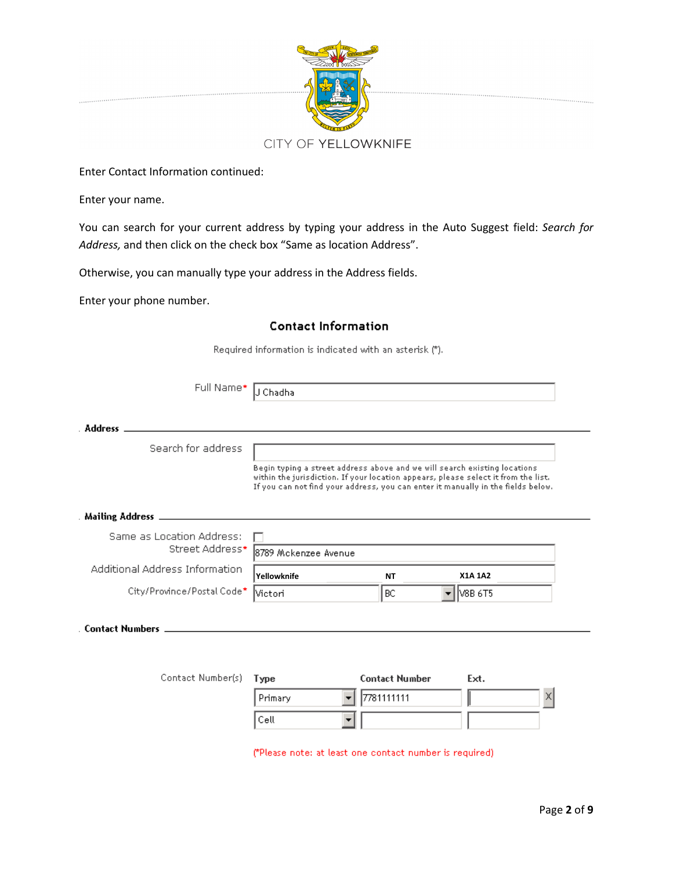

Enter Contact Information continued:

Enter your name.

You can search for your current address by typing your address in the Auto Suggest field: *Search for Address,* and then click on the check box "Same as location Address".

Otherwise, you can manually type your address in the Address fields.

Primary

Cell

Enter your phone number.

#### **Contact Information**

Required information is indicated with an asterisk (\*). Full Name\* J Chadha . Address \_ Search for address Begin typing a street address above and we will search existing locations. within the jurisdiction. If your location appears, please select it from the list. If you can not find your address, you can enter it manually in the fields below. Mailing Address \_\_\_\_\_\_\_\_\_\_\_ Same as Location Address: Street Address\* 8789 Mckenzee Avenue Additional Address Information **Yellowknife NT X1A 1A2**City/Province/Postal Code\* Victori BC V8B 6T5 . Contact Numbers . Contact Number(s) Type **Contact Number** Ext.

7781111111

(\*Please note: at least one contact number is required)

X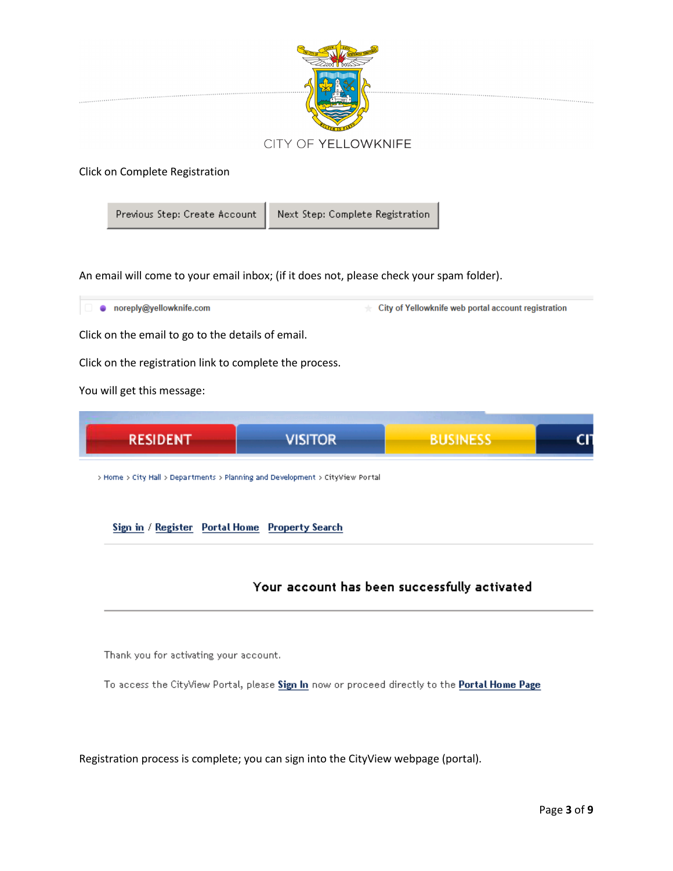

#### Click on Complete Registration

Previous Step: Create Account

Next Step: Complete Registration

An email will come to your email inbox; (if it does not, please check your spam folder).

noreply@yellowknife.com City of Yellowknife web portal account registration Click on the email to go to the details of email. Click on the registration link to complete the process. You will get this message: **BUSINESS** RESIDENT **VISITOR** > Home > City Hall > Departments > Planning and Development > CityView Portal

Sign in / Register Portal Home Property Search

# Your account has been successfully activated

Thank you for activating your account.

To access the CityView Portal, please Sign In now or proceed directly to the Portal Home Page

Registration process is complete; you can sign into the CityView webpage (portal).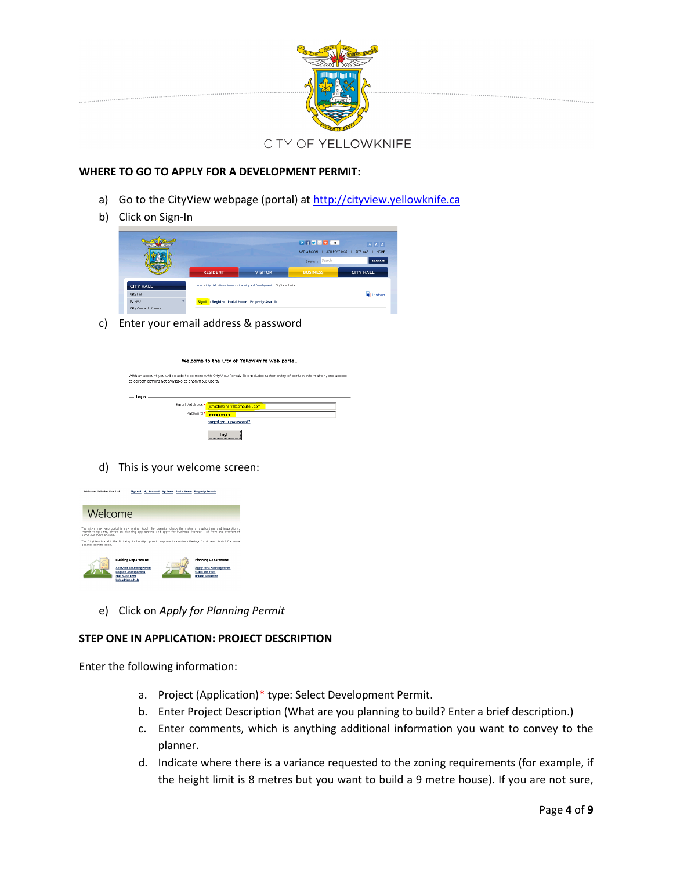

#### **WHERE TO GO TO APPLY FOR A DEVELOPMENT PERMIT:**

- a) Go to the CityView webpage (portal) at http://cityview.yellowknife.ca
- b) Click on Sign-In

|                  |                 |                                                                               | <b>MEDIA ROOM    </b><br>JOB POSTINGS<br>Search: Search | <b>HOME</b><br>SITE MAP<br><b>SEARCH</b> |
|------------------|-----------------|-------------------------------------------------------------------------------|---------------------------------------------------------|------------------------------------------|
|                  | <b>RESIDENT</b> | <b>VISITOR</b>                                                                | <b>BUSINESS</b>                                         | <b>CITY HALL</b>                         |
| <b>CITY HALL</b> |                 | > Home > City Hall > Departments > Planning and Development > CityView Portal |                                                         |                                          |
| City Hall        |                 |                                                                               |                                                         | <b>B</b> iListen                         |

c) Enter your email address & password

|       |                                                                                                                                                                                         | Welcome to the City of Yellowknife web portal. |  |  |  |
|-------|-----------------------------------------------------------------------------------------------------------------------------------------------------------------------------------------|------------------------------------------------|--|--|--|
|       | With an account you will be able to do more with CityView Portal. This includes faster entry of certain information, and access<br>to certain options not available to anonymous users. |                                                |  |  |  |
| Login |                                                                                                                                                                                         |                                                |  |  |  |
|       | Email Address*                                                                                                                                                                          | jchadha@harriscomputer.com                     |  |  |  |
|       | Password*                                                                                                                                                                               |                                                |  |  |  |
|       |                                                                                                                                                                                         | Forget your password?                          |  |  |  |
|       |                                                                                                                                                                                         | <br>Logic                                      |  |  |  |

#### d) This is your welcome screen:



e) Click on *Apply for Planning Permit*

#### **STEP ONE IN APPLICATION: PROJECT DESCRIPTION**

Enter the following information:

- a. Project (Application)\* type: Select Development Permit.
- b. Enter Project Description (What are you planning to build? Enter a brief description.)
- c. Enter comments, which is anything additional information you want to convey to the planner.
- d. Indicate where there is a variance requested to the zoning requirements (for example, if the height limit is 8 metres but you want to build a 9 metre house). If you are not sure,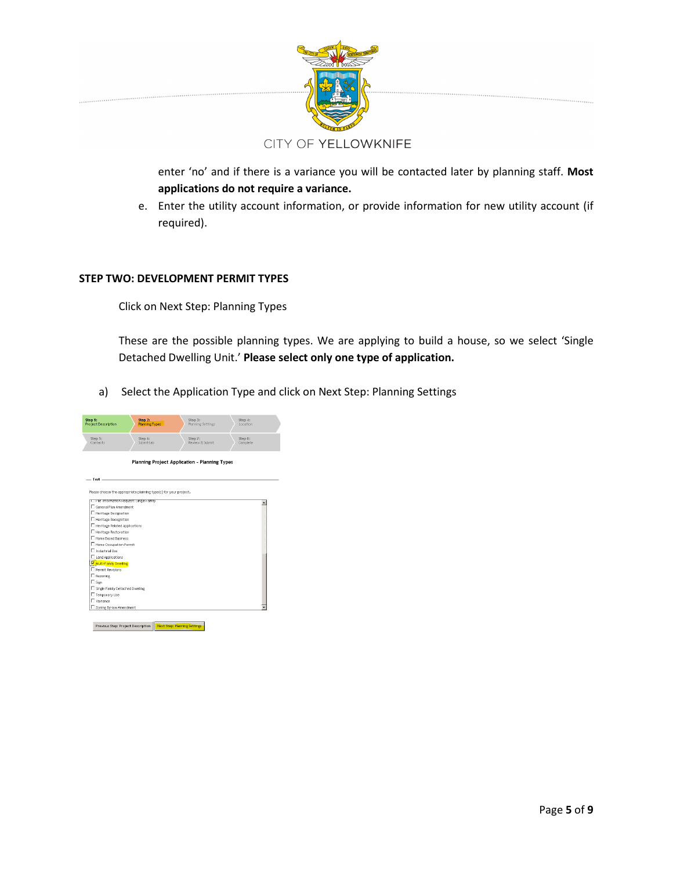

enter 'no' and if there is a variance you will be contacted later by planning staff. **Most applications do not require a variance.**

e. Enter the utility account information, or provide information for new utility account (if required).

#### **STEP TWO: DEVELOPMENT PERMIT TYPES**

Click on Next Step: Planning Types

These are the possible planning types. We are applying to build a house, so we select 'Single Detached Dwelling Unit.' **Please select only one type of application.**

a) Select the Application Type and click on Next Step: Planning Settings

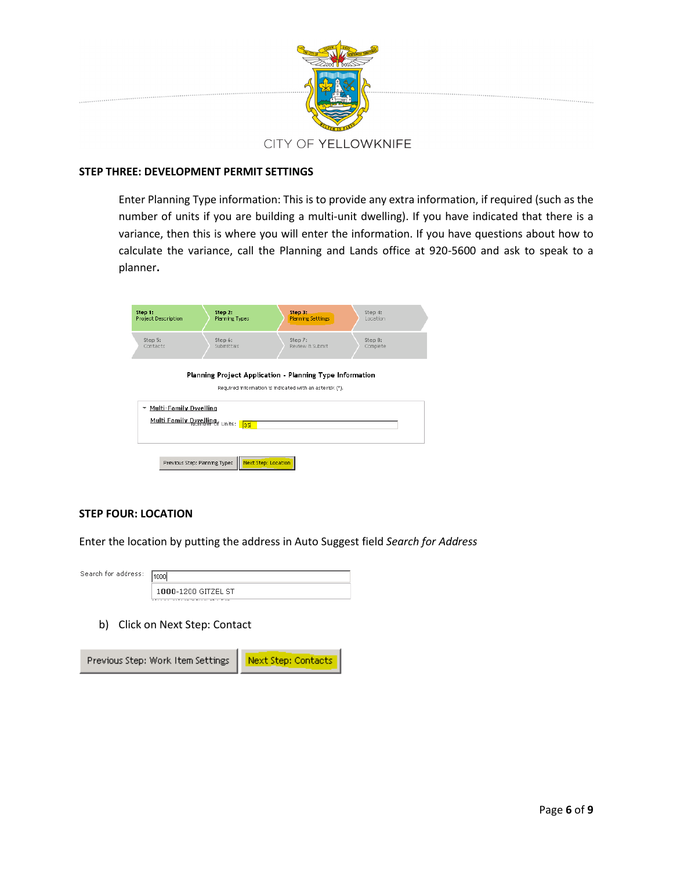

#### **STEP THREE: DEVELOPMENT PERMIT SETTINGS**

Enter Planning Type information: This is to provide any extra information, if required (such as the number of units if you are building a multi-unit dwelling). If you have indicated that there is a variance, then this is where you will enter the information. If you have questions about how to calculate the variance, call the Planning and Lands office at 920-5600 and ask to speak to a planner**.** 

| Step 1:<br><b>Project Description</b>                                              | Step 2:<br>Planning Types | Step 3:<br><b>Planning Settings</b>                                                                                 | Step 4:<br>Location |
|------------------------------------------------------------------------------------|---------------------------|---------------------------------------------------------------------------------------------------------------------|---------------------|
| Step 5:<br>Contacts                                                                | Step 6:<br>Submittals     | Step 7:<br>Review & Submit                                                                                          | Step 8:<br>Complete |
|                                                                                    |                           | Planning Project Application - Planning Type Information<br>Required information is indicated with an asterisk (*). |                     |
| <b>Multi-Family Dwelling</b><br>٠<br>Multi Family Dwelling<br>Number of Units: 135 |                           |                                                                                                                     |                     |
| Previous Step: Planning Types                                                      | Next Step: Location       |                                                                                                                     |                     |

#### **STEP FOUR: LOCATION**

Enter the location by putting the address in Auto Suggest field *Search for Address*

| Search for address: | الممميا                                                   |
|---------------------|-----------------------------------------------------------|
|                     | 1000-1200 GITZEL ST<br>alaasa aalaan ku ku sa ni ahaa lam |

b) Click on Next Step: Contact

Previous Step: Work Item Settings Next Step: Contacts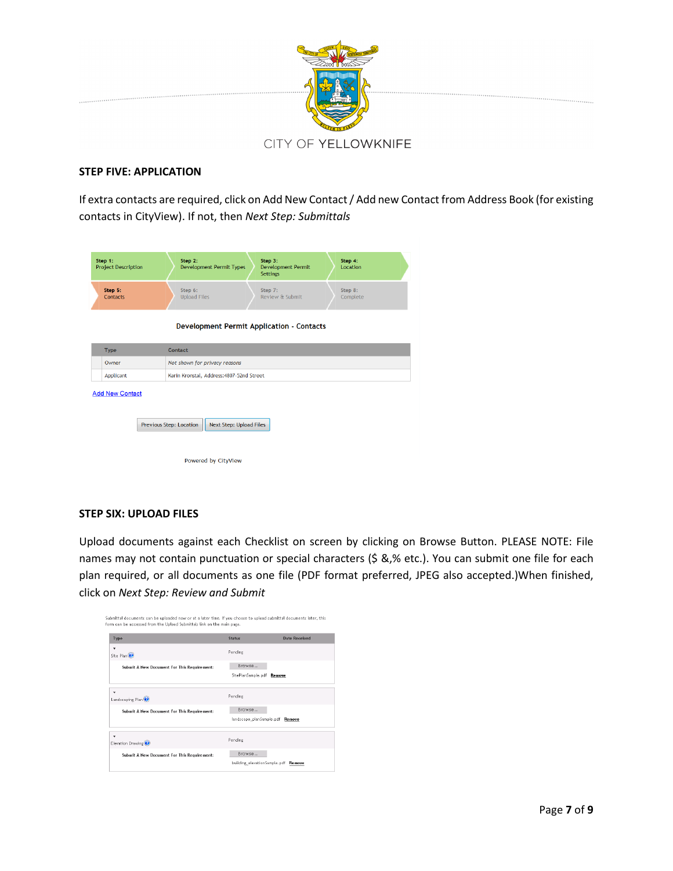

#### **STEP FIVE: APPLICATION**

If extra contacts are required, click on Add New Contact / Add new Contact from Address Book (for existing contacts in CityView). If not, then *Next Step: Submittals*

| Step 1:<br><b>Project Description</b>                         | Step 2:<br>Step 3:<br>Step 4:<br><b>Development Permit Types</b><br><b>Development Permit</b><br><b>Location</b><br><b>Settings</b> |  |  |  |  |
|---------------------------------------------------------------|-------------------------------------------------------------------------------------------------------------------------------------|--|--|--|--|
| Step 5:<br>Contacts                                           | Step 6:<br>Step 8:<br>Step 7:<br><b>Upload Files</b><br>Review & Submit<br>Complete                                                 |  |  |  |  |
|                                                               | <b>Development Permit Application - Contacts</b>                                                                                    |  |  |  |  |
| <b>Type</b>                                                   | Contact                                                                                                                             |  |  |  |  |
| Not shown for privacy reasons<br>Owner                        |                                                                                                                                     |  |  |  |  |
| <b>Applicant</b><br>Karin Kronstal, Address: 4807-52nd Street |                                                                                                                                     |  |  |  |  |
| <b>Add New Contact</b>                                        | Previous Step: Location<br><b>Next Step: Upload Files</b>                                                                           |  |  |  |  |
|                                                               |                                                                                                                                     |  |  |  |  |

#### **STEP SIX: UPLOAD FILES**

Upload documents against each Checklist on screen by clicking on Browse Button. PLEASE NOTE: File names may not contain punctuation or special characters (\$ &,% etc.). You can submit one file for each plan required, or all documents as one file (PDF format preferred, JPEG also accepted.)When finished, click on *Next Step: Review and Submit*

| Submittal documents can be uploaded now or at a later time. If you choose to upload submittal documents later, this<br>form can be accessed from the Upload Submittals link on the main page. |                                           |                      |
|-----------------------------------------------------------------------------------------------------------------------------------------------------------------------------------------------|-------------------------------------------|----------------------|
| Type                                                                                                                                                                                          | <b>Status</b>                             | <b>Date Received</b> |
| ۰<br>Site Plan                                                                                                                                                                                | Pending                                   |                      |
| <b>Submit A New Document For This Requirement:</b>                                                                                                                                            | Browse<br>SitePlanSample.pdf Remove       |                      |
| ٠<br>Landscaping Plan                                                                                                                                                                         | Pending                                   |                      |
| Submit A New Document For This Requirement:                                                                                                                                                   | Browse<br>landscape planSample.pdf Remove |                      |
| ۰<br>Elevation Drawing                                                                                                                                                                        | Pending                                   |                      |
| Submit A New Document For This Requirement:                                                                                                                                                   | Browse<br>building_elevationSample.pdf    | Remove               |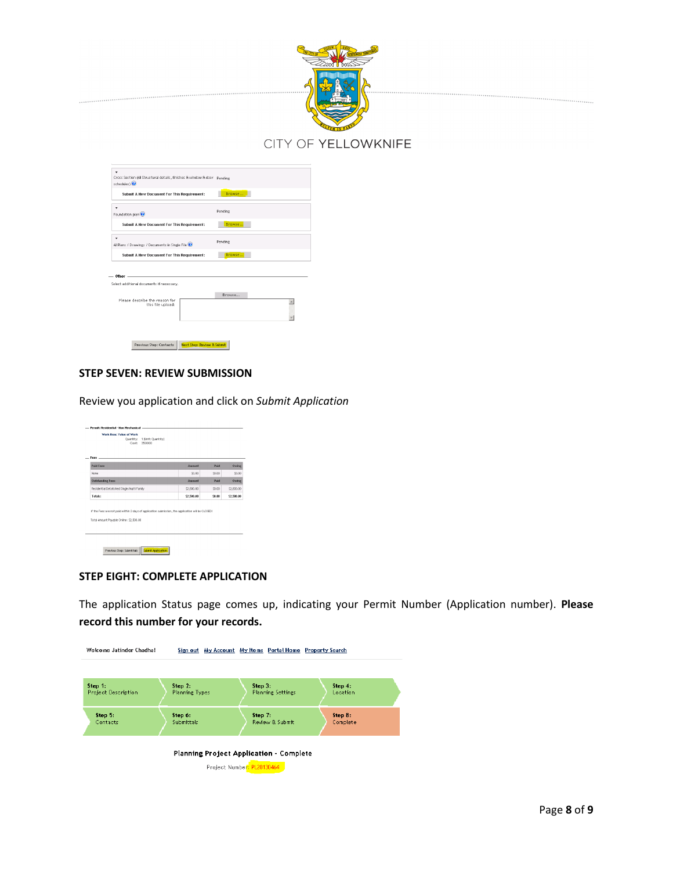

| Cross Section (All Structural details, finishes & window & door Pending<br>schedules) <sup>(2)</sup> |                            |         |  |  |
|------------------------------------------------------------------------------------------------------|----------------------------|---------|--|--|
| Submit A New Document For This Requirement:                                                          |                            | Browse  |  |  |
| ٠<br>Foundation plan                                                                                 |                            | Pending |  |  |
| Submit A New Document For This Requirement:                                                          |                            | Browse  |  |  |
| ٠<br>All Plans / Drawings / Documents in Single File                                                 |                            | Pending |  |  |
| Submit A New Document For This Requirement:                                                          |                            | Browse  |  |  |
| Other<br>Select additional documents if necessary.                                                   |                            |         |  |  |
|                                                                                                      |                            | Browse  |  |  |
| Please describe the reason for<br>this file upload:                                                  |                            |         |  |  |
|                                                                                                      |                            |         |  |  |
| Previous Step: Contacts                                                                              | Next Step: Review & Submit |         |  |  |

#### **STEP SEVEN: REVIEW SUBMISSION**

Review you application and click on *Submit Application*

| $Fers$ $-$                                                                                                                                   |                  |               |                 |
|----------------------------------------------------------------------------------------------------------------------------------------------|------------------|---------------|-----------------|
| <b>Paid Fees</b><br>None                                                                                                                     | Amount<br>\$0.00 | Paid<br>50.00 | Owing<br>\$0.00 |
| <b>Outstanding Fees</b>                                                                                                                      | Amount           | Paid          | Owing           |
| Residential Detatched Single/Multi Family                                                                                                    | \$2,500.00       | \$0.00        | \$2,500.00      |
| Totals:                                                                                                                                      | \$2,500.00       | \$0.00        | \$2,500.00      |
| If the Fees are not paid within 3 days of application submission, the application will be CLOSED!<br>Total Amount Payable Online: \$2,500.00 |                  |               |                 |

#### **STEP EIGHT: COMPLETE APPLICATION**

The application Status page comes up, indicating your Permit Number (Application number). **Please record this number for your records.**

| Welcome Jatinder Chadha!       |                                  | Sign out My Account My Items Portal Home Property Search                     |                     |
|--------------------------------|----------------------------------|------------------------------------------------------------------------------|---------------------|
|                                |                                  |                                                                              |                     |
| Step 1:<br>Project Description | Step 2:<br><b>Planning Types</b> | Step 3:<br><b>Planning Settings</b>                                          | Step 4:<br>Location |
| Step 5:<br>Contacts            | Step 6:<br>Submittals            | Step 7:<br>Review & Submit                                                   | Step 8:<br>Complete |
|                                |                                  | <b>Planning Project Application - Complete</b><br>Project Number: PL20130464 |                     |